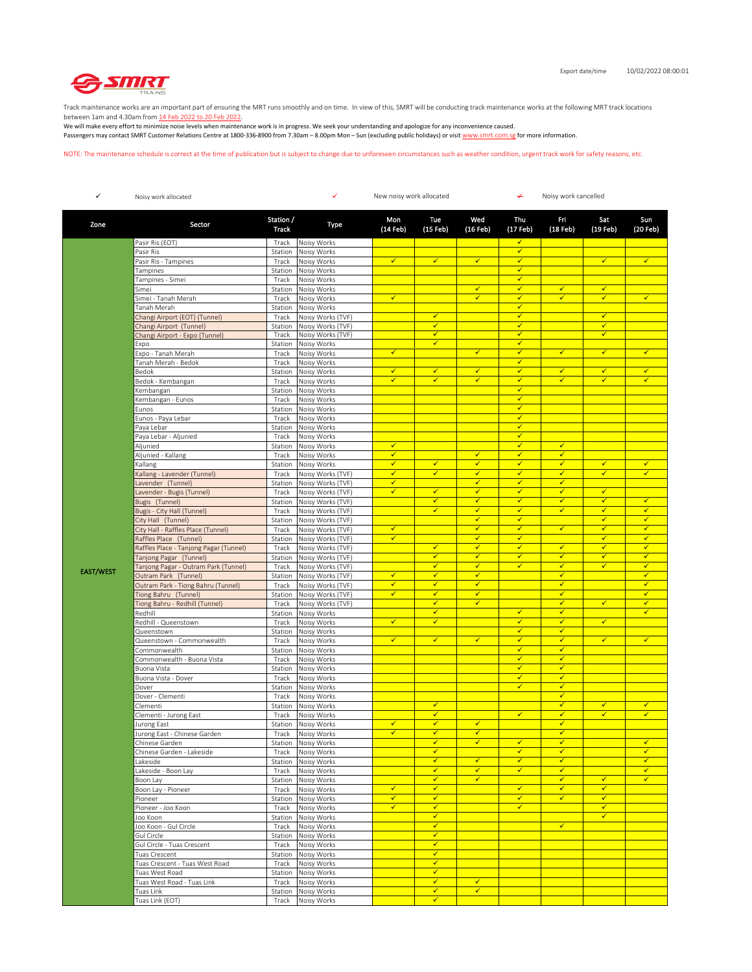

Track maintenance works are an important part of ensuring the MRT runs smoothly and on time. In view of this, SMRT will be conducting track maintenance works at the following MRT track locations between 1am and 4.30am from 14 Feb 2022 to 20 Feb 2022.

We will make every effort to minimize noise levels when maintenance work is in progress. We seek your understanding and apologize for any inconvenience caused. Passengers may contact SMRT Customer Relations Centre at 1800-336-8900 from 7.30am – 8.00pm Mon – Sun (excluding public holidays) or visit www.smrt.com.sg for more information.

NOTE: The maintenance schedule is correct at the time of publication but is subject to change due to unforeseen circumstances such as weather condition, urgent track work for safety reasons, etc.

| $\checkmark$     | Noisy work allocated                                           |                    | ✓<br>New noisy work allocated          |                   |                              | ↚<br>Noisy work cancelled    |                              |                              |                              |                              |
|------------------|----------------------------------------------------------------|--------------------|----------------------------------------|-------------------|------------------------------|------------------------------|------------------------------|------------------------------|------------------------------|------------------------------|
| Zone             | Sector                                                         | Station /<br>Track | Type                                   | Mon<br>(14 Feb)   | Tue<br>(15 Feb)              | Wed<br>(16 Feb)              | Thu<br>(17 Feb)              | Fri<br>(18 Feb)              | Sat<br>(19 Feb)              | Sun<br>(20 Feb)              |
|                  | Pasir Ris (EOT)                                                | Track              | Noisy Works                            |                   |                              |                              | $\checkmark$                 |                              |                              |                              |
|                  | Pasir Ris                                                      | Station            | Noisy Works                            |                   |                              |                              | $\checkmark$                 |                              |                              |                              |
|                  | Pasir Ris - Tampines                                           | Track              | Noisy Works                            | $\checkmark$      | $\checkmark$                 | $\checkmark$                 | $\checkmark$                 |                              | $\checkmark$                 | $\checkmark$                 |
|                  | Tampines                                                       | Station            | Noisy Works                            |                   |                              |                              | $\checkmark$<br>$\checkmark$ |                              |                              |                              |
|                  | Tampines - Simei<br>Simei                                      | Track<br>Station   | Noisy Works<br>Noisy Works             |                   |                              | $\checkmark$                 | $\checkmark$                 | ✓                            | $\checkmark$                 |                              |
|                  | Simei - Tanah Merah                                            | Track              | Noisy Works                            | $\checkmark$      |                              | $\checkmark$                 | $\checkmark$                 | $\checkmark$                 | $\checkmark$                 | $\checkmark$                 |
|                  | Tanah Merah                                                    | Station            | Noisy Works                            |                   |                              |                              | $\checkmark$                 |                              |                              |                              |
|                  | Changi Airport (EOT) (Tunnel)                                  | Track              | Noisy Works (TVF)                      |                   | ✓                            |                              | $\checkmark$                 |                              | $\checkmark$                 |                              |
|                  | Changi Airport (Tunnel)                                        | Station            | Noisy Works (TVF)                      |                   | $\checkmark$                 |                              | $\checkmark$                 |                              | $\checkmark$                 |                              |
|                  | Changi Airport - Expo (Tunnel)                                 | Track<br>Station   | Noisy Works (TVF)<br>Noisy Works       |                   | $\checkmark$<br>$\checkmark$ |                              | $\checkmark$<br>$\checkmark$ |                              | $\checkmark$                 |                              |
|                  | Expo<br>Expo - Tanah Merah                                     | Track              | Noisy Works                            | $\checkmark$      |                              | $\checkmark$                 | $\checkmark$                 | $\checkmark$                 | $\checkmark$                 | $\checkmark$                 |
|                  | Tanah Merah - Bedok                                            | Track              | Noisy Works                            |                   |                              |                              | $\checkmark$                 |                              |                              |                              |
|                  | Bedok                                                          | Station            | Noisy Works                            | $\checkmark$      | $\checkmark$                 | $\checkmark$                 | $\checkmark$                 | $\checkmark$                 | $\checkmark$                 | $\checkmark$                 |
|                  | Bedok - Kembangan                                              | Track              | Noisy Works                            | ✓                 | ✓                            | $\checkmark$                 | $\checkmark$                 | ✓                            | ✓                            | ✓                            |
|                  | Kembangan                                                      | Station            | Noisy Works                            |                   |                              |                              | $\checkmark$                 |                              |                              |                              |
|                  | Kembangan - Eunos                                              | Track              | Noisy Works                            |                   |                              |                              | $\checkmark$<br>$\checkmark$ |                              |                              |                              |
|                  | Eunos<br>Eunos - Paya Lebar                                    | Station<br>Track   | Noisy Works<br>Noisy Works             |                   |                              |                              | $\checkmark$                 |                              |                              |                              |
|                  | Paya Lebar                                                     | Station            | Noisy Works                            |                   |                              |                              | $\checkmark$                 |                              |                              |                              |
|                  | Paya Lebar - Aljunied                                          | Track              | Noisy Works                            |                   |                              |                              | $\checkmark$                 |                              |                              |                              |
|                  | Aljunied                                                       | Station            | Noisy Works                            | $\checkmark$      |                              |                              | ✓                            | $\checkmark$                 |                              |                              |
|                  | Aljunied - Kallang                                             | Track              | Noisy Works                            | $\checkmark$      |                              | $\checkmark$                 | $\checkmark$                 | ✓                            |                              |                              |
|                  | Kallang                                                        | Station            | Noisy Works                            | $\checkmark$      | $\checkmark$                 | ✓                            | $\checkmark$                 | ✓                            | $\checkmark$                 | ✓                            |
|                  | Kallang - Lavender (Tunnel)                                    | Track              | Noisy Works (TVF)                      | ✓                 | $\checkmark$                 | $\checkmark$                 | $\checkmark$                 | ✓                            | $\checkmark$                 | $\checkmark$                 |
|                  | Lavender (Tunnel)<br>avender - Bugis (Tunnel)                  | Station            | Noisy Works (TVF)<br>Noisy Works (TVF) | $\checkmark$<br>✓ | $\checkmark$                 | $\checkmark$<br>$\checkmark$ | $\checkmark$<br>$\checkmark$ | $\checkmark$<br>✓            | $\checkmark$                 |                              |
|                  | Bugis (Tunnel)                                                 | Track<br>Station   | Noisy Works (TVF)                      |                   | $\checkmark$                 | ✓                            | $\checkmark$                 | ✓                            | ⊽                            | ✓                            |
|                  | Bugis - City Hall (Tunnel)                                     | Track              | Noisy Works (TVF)                      |                   | $\checkmark$                 | $\checkmark$                 | $\checkmark$                 | ✓                            | $\checkmark$                 | $\checkmark$                 |
|                  | City Hall (Tunnel)                                             | Station            | Noisy Works (TVF)                      |                   |                              | ✓                            | $\checkmark$                 |                              | ✓                            | ✓                            |
|                  | City Hall - Raffles Place (Tunnel)                             | Track              | Noisy Works (TVF)                      | $\checkmark$      |                              | $\checkmark$                 | $\checkmark$                 | $\checkmark$                 | $\checkmark$                 | $\checkmark$                 |
|                  | Raffles Place (Tunnel)                                         | Station            | Noisy Works (TVF)                      | $\checkmark$      |                              | ✓                            | ✔                            |                              | $\checkmark$                 | ✓                            |
|                  | Raffles Place - Tanjong Pagar (Tunnel)                         | Track              | Noisy Works (TVF)                      |                   | $\checkmark$<br>$\checkmark$ | $\checkmark$<br>$\checkmark$ | $\checkmark$<br>$\checkmark$ | ✓<br>⊽                       | $\checkmark$<br>✔            | $\checkmark$<br>$\checkmark$ |
|                  | Tanjong Pagar (Tunnel)<br>Tanjong Pagar - Outram Park (Tunnel) | Station<br>Track   | Noisy Works (TVF)<br>Noisy Works (TVF) |                   | $\checkmark$                 | ✓                            | $\checkmark$                 | ✓                            | $\checkmark$                 | ✓                            |
| <b>EAST/WEST</b> | Outram Park (Tunnel)                                           | Station            | Noisy Works (TVF)                      | $\checkmark$      | $\checkmark$                 | $\checkmark$                 |                              | $\checkmark$                 |                              | $\checkmark$                 |
|                  | Outram Park - Tiong Bahru (Tunnel)                             | Track              | Noisy Works (TVF)                      | $\checkmark$      | $\checkmark$                 | $\checkmark$                 |                              | $\checkmark$                 |                              | $\checkmark$                 |
|                  | Tiong Bahru (Tunnel)                                           | Station            | Noisy Works (TVF)                      | $\checkmark$      | $\checkmark$                 | $\checkmark$                 |                              | ✓                            |                              | ✓                            |
|                  | Tiong Bahru - Redhill (Tunnel)                                 | Track              | Noisy Works (TVF)                      |                   | $\checkmark$                 | $\checkmark$                 |                              | $\checkmark$                 | $\checkmark$                 | $\checkmark$                 |
|                  | Redhill<br>Redhill - Queenstown                                | Station            | Noisy Works<br>Noisy Works             | $\checkmark$      | $\checkmark$<br>$\checkmark$ |                              | $\checkmark$<br>$\checkmark$ | $\checkmark$<br>$\checkmark$ | $\checkmark$                 | $\checkmark$                 |
|                  | Queenstown                                                     | Track<br>Station   | Noisy Works                            |                   |                              |                              | $\checkmark$                 | $\checkmark$                 |                              |                              |
|                  | Queenstown - Commonwealth                                      | Track              | Noisy Works                            | $\checkmark$      | $\checkmark$                 | $\checkmark$                 | $\checkmark$                 | $\checkmark$                 | $\checkmark$                 | $\checkmark$                 |
|                  | Commonwealth                                                   | Station            | Noisy Works                            |                   |                              |                              | $\checkmark$                 | ✓                            |                              |                              |
|                  | Commonwealth - Buona Vista                                     | Track              | Noisy Works                            |                   |                              |                              | ✓                            | $\checkmark$                 |                              |                              |
|                  | Buona Vista                                                    | Station            | Noisy Works                            |                   |                              |                              | $\checkmark$<br>$\checkmark$ | ✓<br>✓                       |                              |                              |
|                  | Buona Vista - Dover                                            | Track              | Noisy Works                            |                   |                              |                              | $\checkmark$                 | $\checkmark$                 |                              |                              |
|                  | Dover<br>Dover - Clementi                                      | Station<br>Track   | Noisy Works<br>Noisy Works             |                   |                              |                              |                              | $\checkmark$                 |                              |                              |
|                  | Clementi                                                       | Station            | Noisy Works                            |                   | $\checkmark$                 |                              |                              | ✓                            | $\checkmark$                 | ✓                            |
|                  | Clementi - Jurong East                                         | Track              | Noisy Works                            |                   | $\checkmark$                 |                              | $\checkmark$                 | √                            | $\checkmark$                 | ✓                            |
|                  | urong East                                                     | Station            | Noisy Works                            | ✔                 | ✓                            | $\checkmark$                 |                              | ✓                            |                              |                              |
|                  | lurong East - Chinese Garden                                   | Track              | Noisy Works                            | ✓                 | $\checkmark$                 | ✓                            |                              | ✓                            |                              |                              |
|                  | Chinese Garden                                                 |                    | Station Noisy Works                    |                   | $\checkmark$                 | ✓                            | ✓<br>✓                       | ✓<br>$\checkmark$            |                              | ✓<br>✓                       |
|                  | Chinese Garden - Lakeside<br>Lakeside                          | Track              | Noisy Works<br>Station Noisy Works     |                   | $\checkmark$                 | $\checkmark$                 | $\checkmark$                 | ✓                            |                              | ✓                            |
|                  | Lakeside - Boon Lay                                            | Track              | Noisy Works                            |                   | $\checkmark$                 | $\checkmark$                 | $\checkmark$                 | $\checkmark$                 |                              | $\checkmark$                 |
|                  | Boon Lay                                                       | Station            | Noisy Works                            |                   | $\checkmark$                 | $\checkmark$                 |                              | ✓                            | $\checkmark$                 | $\checkmark$                 |
|                  | Boon Lay - Pioneer                                             | Track              | Noisy Works                            | $\checkmark$      | $\checkmark$                 |                              | $\checkmark$                 | $\checkmark$                 | $\checkmark$                 |                              |
|                  | Pioneer                                                        | Station            | Noisy Works                            | ✓                 | $\checkmark$                 |                              | $\checkmark$                 | ✓                            | $\checkmark$                 |                              |
|                  | Pioneer - Joo Koon                                             | Track              | Noisy Works                            | $\checkmark$      | $\checkmark$<br>$\checkmark$ |                              | $\checkmark$                 |                              | $\checkmark$<br>$\checkmark$ |                              |
|                  | Joo Koon<br>loo Koon - Gul Circle                              | Station<br>Track   | Noisy Works<br>Noisy Works             |                   | ✓                            |                              |                              | ✓                            |                              |                              |
|                  | Gul Circle                                                     | Station            | Noisy Works                            |                   | $\checkmark$                 |                              |                              |                              |                              |                              |
|                  | Gul Circle - Tuas Crescent                                     | Track              | Noisy Works                            |                   | $\checkmark$                 |                              |                              |                              |                              |                              |
|                  | Tuas Crescent                                                  | Station            | Noisy Works                            |                   | $\checkmark$                 |                              |                              |                              |                              |                              |
|                  | Tuas Crescent - Tuas West Road                                 | Track              | Noisy Works                            |                   | $\checkmark$                 |                              |                              |                              |                              |                              |
|                  | Tuas West Road                                                 | Station            | Noisy Works                            |                   | $\checkmark$                 |                              |                              |                              |                              |                              |
|                  | Tuas West Road - Tuas Link<br>Tuas Link                        | Track<br>Station   | Noisy Works<br>Noisy Works             |                   | $\checkmark$<br>$\checkmark$ | ✓<br>$\checkmark$            |                              |                              |                              |                              |
|                  | Tuas Link (EOT)                                                |                    | Track Noisy Works                      |                   | $\checkmark$                 |                              |                              |                              |                              |                              |